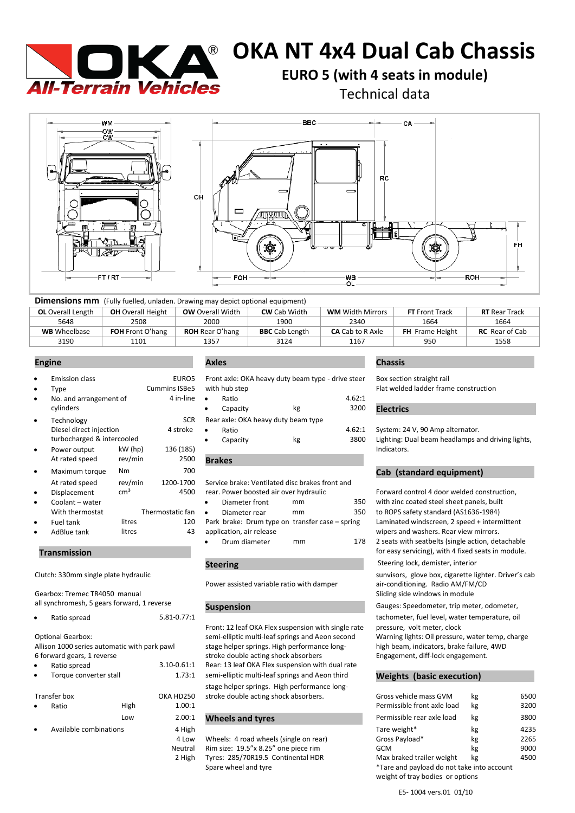

# **OKA NT 4x4 Dual Cab Chassis**

**EURO 5 (with 4 seats in module)** 

Technical data



| <b>Dimensions mm</b> (Fully fuelled, unladen. Drawing may depict optional equipment) |                          |                         |                       |                         |                        |                       |
|--------------------------------------------------------------------------------------|--------------------------|-------------------------|-----------------------|-------------------------|------------------------|-----------------------|
| <b>OL</b> Overall Length                                                             | <b>OH</b> Overall Height | <b>OW</b> Overall Width | <b>CW</b> Cab Width   | <b>WM</b> Width Mirrors | <b>FT</b> Front Track  | <b>RT</b> Rear Track  |
| 5648                                                                                 | 2508                     | 2000                    | 1900                  | 2340                    | 1664                   | 1664                  |
| <b>WB</b> Wheelbase                                                                  | <b>FOH</b> Front O'hang  | <b>ROH</b> Rear O'hang  | <b>BBC</b> Cab Length | <b>CA</b> Cab to R Axle | <b>FH</b> Frame Height | <b>RC</b> Rear of Cab |
| 3190                                                                                 | 1101                     | 1357                    | 3124                  | 1167                    | 950                    | 1558                  |

|           | <b>Emission class</b>      |                 | EURO5                |           | Front axle: OKA heavy duty beam type - drive steer |    |        | Box sectior      |
|-----------|----------------------------|-----------------|----------------------|-----------|----------------------------------------------------|----|--------|------------------|
| ٠         | Type                       |                 | <b>Cummins ISBe5</b> |           | with hub step                                      |    |        | Flat welded      |
| $\bullet$ | No. and arrangement of     |                 | 4 in-line            | $\bullet$ | Ratio                                              |    | 4.62:1 |                  |
|           | cylinders                  |                 |                      | ٠         | Capacity                                           | kg | 3200   | <b>Electrics</b> |
| $\bullet$ | Technology                 |                 | <b>SCR</b>           |           | Rear axle: OKA heavy duty beam type                |    |        |                  |
|           | Diesel direct injection    |                 | 4 stroke             | $\bullet$ | Ratio                                              |    | 4.62:1 | System: 24       |
|           | turbocharged & intercooled |                 |                      | ٠         | Capacity                                           | kg | 3800   | Lighting: D      |
| $\bullet$ | Power output               | $kW$ (hp)       | 136 (185)            |           |                                                    |    |        | Indicators.      |
|           | At rated speed             | rev/min         | 2500                 |           | <b>Brakes</b>                                      |    |        |                  |
| $\bullet$ | Maximum torque             | N <sub>m</sub>  | 700                  |           |                                                    |    |        | Cab (sta         |
|           | At rated speed             | rev/min         | 1200-1700            |           | Service brake: Ventilated disc brakes front and    |    |        |                  |
| ٠         | Displacement               | cm <sup>3</sup> | 4500                 |           | rear. Power boosted air over hydraulic             |    |        | Forward co       |
| ٠         | Coolant - water            |                 |                      | $\bullet$ | Diameter front                                     | mm | 350    | with zinc co     |
|           | With thermostat            |                 | Thermostatic fan     | $\bullet$ | Diameter rear                                      | mm | 350    | to ROPS sa       |
| ٠         | Fuel tank                  | litres          | 120                  |           | Park brake: Drum type on transfer case - spring    |    |        | Laminated        |
|           | AdBlue tank                | litres          | 43                   |           | application, air release                           |    |        | wipers and       |

### **Transmission** .

Gearbox: Tremec TR4050 manual all synchromesh, 5 gears forward, 1 reverse

| $\bullet$ | Ratio spread | 5.81-0.77:1 |  |  |
|-----------|--------------|-------------|--|--|
|           |              |             |  |  |

Optional Gearbox: Allison 1000 series automatic with park pawl 6 forward gears, 1 reverse

| $\bullet$ | Ratio spread           | $3.10 - 0.61$ : |
|-----------|------------------------|-----------------|
|           | Torque converter stall | 1.73:           |

|           | Transfer box           |      | OKA HD25 |
|-----------|------------------------|------|----------|
| $\bullet$ | Ratio                  | High | 1.00:    |
|           |                        | Low  | 2.00:    |
| $\bullet$ | Available combinations |      | 4 Hig    |

Front axle: OKA heavy duty beam type - drive steer Box section straight rail with hub step extending the Cummins ISBS with hub step Flat welded ladder frame construction

| 4 in-line $\bullet$ | Ratio     |          |                                     | 4.62:1 |                                                   |  |
|---------------------|-----------|----------|-------------------------------------|--------|---------------------------------------------------|--|
|                     |           | Capacity | kg                                  | 3200   | <b>Electrics</b>                                  |  |
| <b>SCR</b>          |           |          | Rear axle: OKA heavy duty beam type |        |                                                   |  |
| 1 stroke            | $\bullet$ | Ratio    |                                     | 4.62:1 | System: 24 V, 90 Amp alternator.                  |  |
|                     |           | Capacity | kg                                  | 3800   | Lighting: Dual beam headlamps and driving lights, |  |
| 36 (185)            |           |          |                                     |        | Indicators.                                       |  |

|                          | Diameter front                                  | mm | 350 |  |  |  |  |
|--------------------------|-------------------------------------------------|----|-----|--|--|--|--|
| $\bullet$                | Diameter rear                                   | mm | 350 |  |  |  |  |
|                          | Park brake: Drum type on transfer case – spring |    |     |  |  |  |  |
| application, air release |                                                 |    |     |  |  |  |  |
|                          | Drum diameter                                   | mm | 178 |  |  |  |  |

# **Steering**

Power assisted variable ratio with damper air-conditioning. Radio AM/FM/CD

Front: 12 leaf OKA Flex suspension with single rate pressure, volt meter, clock semi-elliptic multi-leaf springs and Aeon second Warning lights: Oil pressure, water temp, charge stage helper springs. High performance long- high beam, indicators, brake failure, 4WD stroke double acting shock absorbers **Engagement**, diff-lock engagement. :1 Rear: 13 leaf OKA Flex suspension with dual rate 1 semi-elliptic multi-leaf springs and Aeon third **Weights (basic execution)** stage helper springs. High performance long-50 stroke double acting shock absorbers.

# <sup>:1</sup> Wheels and tyres

### **Engine . Axles . Chassis .**

# **Cab (standard equipment)**

Forward control 4 door welded construction, with zinc coated steel sheet panels, built to ROPS safety standard (AS1636-1984) Laminated windscreen, 2 speed + intermittent wipers and washers. Rear view mirrors. 2 seats with seatbelts (single action, detachable for easy servicing), with 4 fixed seats in module.

### Steering lock, demister, interior

Clutch: 330mm single plate hydraulic sunvisors, glove box, cigarette lighter. Driver's cab Sliding side windows in module

**Suspension** . Gauges: Speedometer, trip meter, odometer,

tachometer, fuel level, water temperature, oil

| Transfer box<br>OKA HD250 |  |                        | stroke double acting shock absorbers. | Gross vehicle mass GVM<br>kg           |                                                                                | 6500 |      |
|---------------------------|--|------------------------|---------------------------------------|----------------------------------------|--------------------------------------------------------------------------------|------|------|
| Ratio<br>۰                |  | High                   | 1.00:1                                |                                        | Permissible front axle load                                                    | kg   | 3200 |
|                           |  | Low                    | 2.00:1                                | <b>Wheels and tyres</b>                | Permissible rear axle load                                                     | kg   | 3800 |
| $\bullet$                 |  | Available combinations |                                       |                                        | Tare weight*                                                                   | kg   | 4235 |
|                           |  |                        |                                       | Wheels: 4 road wheels (single on rear) | Gross Payload*                                                                 | kg   | 2265 |
|                           |  |                        | Neutral                               | Rim size: 19.5"x 8.25" one piece rim   | GCM                                                                            | kg   | 9000 |
|                           |  |                        | 2 High                                | Tyres: 285/70R19.5 Continental HDR     | Max braked trailer weight                                                      | kg   | 4500 |
|                           |  |                        |                                       | Spare wheel and tyre                   | *Tare and payload do not take into account<br>weight of tray bodies or options |      |      |